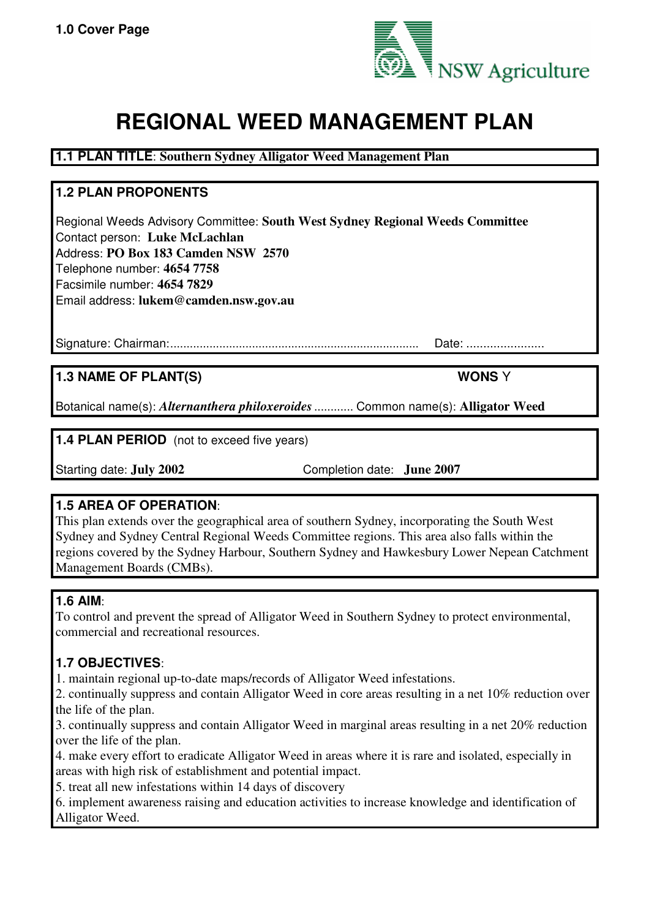

# **REGIONAL WEED MANAGEMENT PLAN**

# **1.1 PLAN TITLE**: **Southern Sydney Alligator Weed Management Plan**

# **1.2 PLAN PROPONENTS**

Regional Weeds Advisory Committee: **South West Sydney Regional Weeds Committee** Contact person: **Luke McLachlan** Address: **PO Box 183 Camden NSW 2570** Telephone number: **4654 7758** Facsimile number: **4654 7829** Email address: **lukem@camden.nsw.gov.au**

Signature: Chairman:............................................................................ Date: .......................

# **1.3 NAME OF PLANT(S) WONS** Y

Botanical name(s): *Alternanthera philoxeroides*............ Common name(s): **Alligator Weed**

**1.4 PLAN PERIOD** (not to exceed five years)

Starting date: **July 2002** Completion date: **June 2007**

## **1.5 AREA OF OPERATION**:

This plan extends over the geographical area of southern Sydney, incorporating the South West Sydney and Sydney Central Regional Weeds Committee regions. This area also falls within the regions covered by the Sydney Harbour, Southern Sydney and Hawkesbury Lower Nepean Catchment Management Boards (CMBs).

## **1.6 AIM**:

To control and prevent the spread of Alligator Weed in Southern Sydney to protect environmental, commercial and recreational resources.

# **1.7 OBJECTIVES**:

1. maintain regional up-to-date maps/records of Alligator Weed infestations.

2. continually suppress and contain Alligator Weed in core areas resulting in a net 10% reduction over the life of the plan.

3. continually suppress and contain Alligator Weed in marginal areas resulting in a net 20% reduction over the life of the plan.

4. make every effort to eradicate Alligator Weed in areas where it is rare and isolated, especially in areas with high risk of establishment and potential impact.

5. treat all new infestations within 14 days of discovery

6. implement awareness raising and education activities to increase knowledge and identification of Alligator Weed.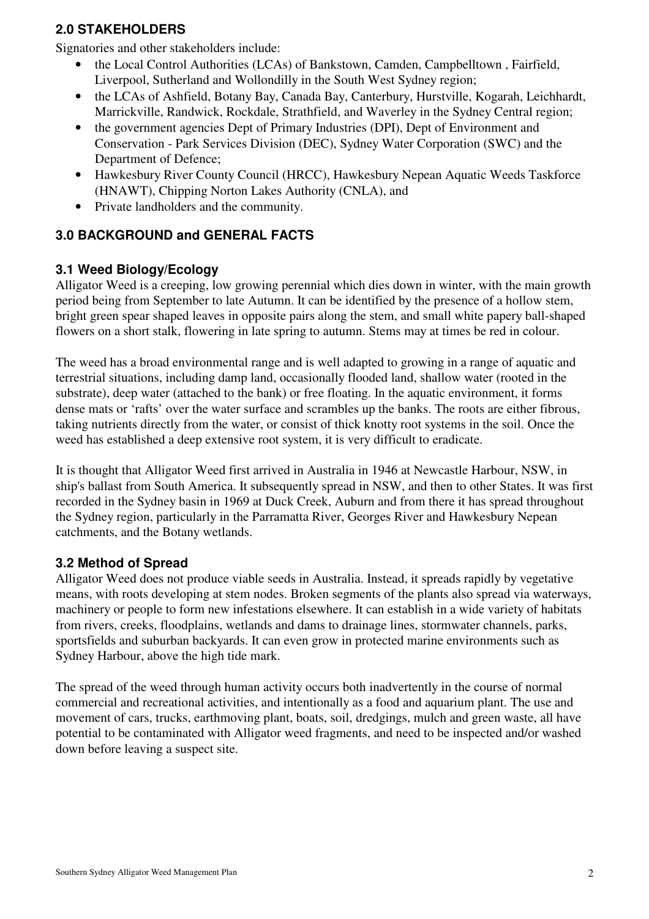## **2.0 STAKEHOLDERS**

Signatories and other stakeholders include:

- the Local Control Authorities (LCAs) of Bankstown, Camden, Campbelltown , Fairfield, Liverpool, Sutherland and Wollondilly in the South West Sydney region;
- the LCAs of Ashfield, Botany Bay, Canada Bay, Canterbury, Hurstville, Kogarah, Leichhardt, Marrickville, Randwick, Rockdale, Strathfield, and Waverley in the Sydney Central region;
- the government agencies Dept of Primary Industries (DPI), Dept of Environment and Conservation - Park Services Division (DEC), Sydney Water Corporation (SWC) and the Department of Defence;
- Hawkesbury River County Council (HRCC), Hawkesbury Nepean Aquatic Weeds Taskforce (HNAWT), Chipping Norton Lakes Authority (CNLA), and
- Private landholders and the community.

## **3.0 BACKGROUND and GENERAL FACTS**

## **3.1 Weed Biology/Ecology**

Alligator Weed is a creeping, low growing perennial which dies down in winter, with the main growth period being from September to late Autumn. It can be identified by the presence of a hollow stem, bright green spear shaped leaves in opposite pairs along the stem, and small white papery ball-shaped flowers on a short stalk, flowering in late spring to autumn. Stems may at times be red in colour.

The weed has a broad environmental range and is well adapted to growing in a range of aquatic and terrestrial situations, including damp land, occasionally flooded land, shallow water (rooted in the substrate), deep water (attached to the bank) or free floating. In the aquatic environment, it forms dense mats or 'rafts' over the water surface and scrambles up the banks. The roots are either fibrous, taking nutrients directly from the water, or consist of thick knotty root systems in the soil. Once the weed has established a deep extensive root system, it is very difficult to eradicate.

It is thought that Alligator Weed first arrived in Australia in 1946 at Newcastle Harbour, NSW, in ship's ballast from South America. It subsequently spread in NSW, and then to other States. It was first recorded in the Sydney basin in 1969 at Duck Creek, Auburn and from there it has spread throughout the Sydney region, particularly in the Parramatta River, Georges River and Hawkesbury Nepean catchments, and the Botany wetlands.

## **3.2 Method of Spread**

Alligator Weed does not produce viable seeds in Australia. Instead, it spreads rapidly by vegetative means, with roots developing at stem nodes. Broken segments of the plants also spread via waterways, machinery or people to form new infestations elsewhere. It can establish in a wide variety of habitats from rivers, creeks, floodplains, wetlands and dams to drainage lines, stormwater channels, parks, sportsfields and suburban backyards. It can even grow in protected marine environments such as Sydney Harbour, above the high tide mark.

The spread of the weed through human activity occurs both inadvertently in the course of normal commercial and recreational activities, and intentionally as a food and aquarium plant. The use and movement of cars, trucks, earthmoving plant, boats, soil, dredgings, mulch and green waste, all have potential to be contaminated with Alligator weed fragments, and need to be inspected and/or washed down before leaving a suspect site.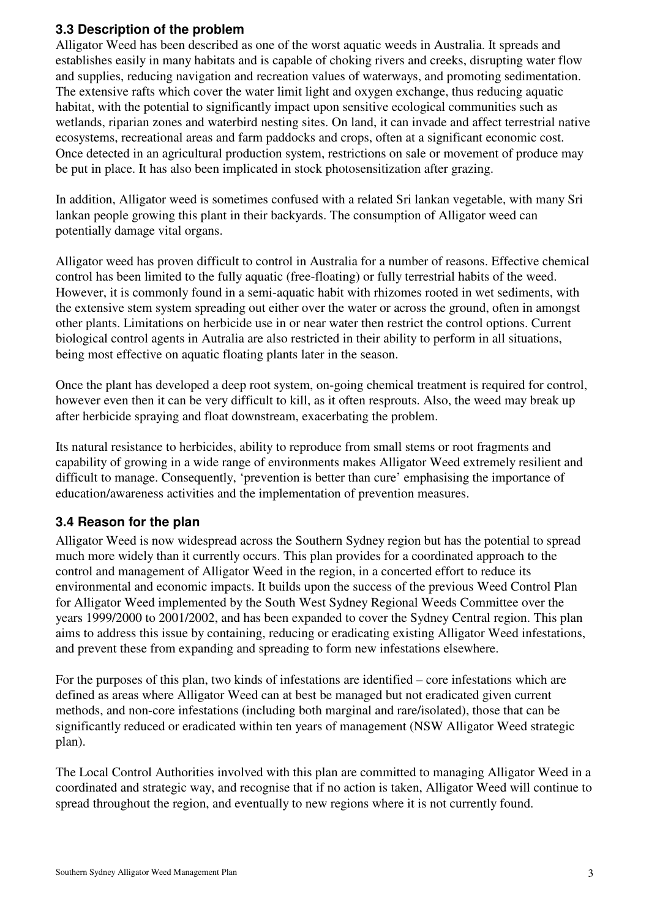## **3.3 Description of the problem**

Alligator Weed has been described as one of the worst aquatic weeds in Australia. It spreads and establishes easily in many habitats and is capable of choking rivers and creeks, disrupting water flow and supplies, reducing navigation and recreation values of waterways, and promoting sedimentation. The extensive rafts which cover the water limit light and oxygen exchange, thus reducing aquatic habitat, with the potential to significantly impact upon sensitive ecological communities such as wetlands, riparian zones and waterbird nesting sites. On land, it can invade and affect terrestrial native ecosystems, recreational areas and farm paddocks and crops, often at a significant economic cost. Once detected in an agricultural production system, restrictions on sale or movement of produce may be put in place. It has also been implicated in stock photosensitization after grazing.

In addition, Alligator weed is sometimes confused with a related Sri lankan vegetable, with many Sri lankan people growing this plant in their backyards. The consumption of Alligator weed can potentially damage vital organs.

Alligator weed has proven difficult to control in Australia for a number of reasons. Effective chemical control has been limited to the fully aquatic (free-floating) or fully terrestrial habits of the weed. However, it is commonly found in a semi-aquatic habit with rhizomes rooted in wet sediments, with the extensive stem system spreading out either over the water or across the ground, often in amongst other plants. Limitations on herbicide use in or near water then restrict the control options. Current biological control agents in Autralia are also restricted in their ability to perform in all situations, being most effective on aquatic floating plants later in the season.

Once the plant has developed a deep root system, on-going chemical treatment is required for control, however even then it can be very difficult to kill, as it often resprouts. Also, the weed may break up after herbicide spraying and float downstream, exacerbating the problem.

Its natural resistance to herbicides, ability to reproduce from small stems or root fragments and capability of growing in a wide range of environments makes Alligator Weed extremely resilient and difficult to manage. Consequently, 'prevention is better than cure' emphasising the importance of education/awareness activities and the implementation of prevention measures.

## **3.4 Reason for the plan**

Alligator Weed is now widespread across the Southern Sydney region but has the potential to spread much more widely than it currently occurs. This plan provides for a coordinated approach to the control and management of Alligator Weed in the region, in a concerted effort to reduce its environmental and economic impacts. It builds upon the success of the previous Weed Control Plan for Alligator Weed implemented by the South West Sydney Regional Weeds Committee over the years 1999/2000 to 2001/2002, and has been expanded to cover the Sydney Central region. This plan aims to address this issue by containing, reducing or eradicating existing Alligator Weed infestations, and prevent these from expanding and spreading to form new infestations elsewhere.

For the purposes of this plan, two kinds of infestations are identified – core infestations which are defined as areas where Alligator Weed can at best be managed but not eradicated given current methods, and non-core infestations (including both marginal and rare/isolated), those that can be significantly reduced or eradicated within ten years of management (NSW Alligator Weed strategic plan).

The Local Control Authorities involved with this plan are committed to managing Alligator Weed in a coordinated and strategic way, and recognise that if no action is taken, Alligator Weed will continue to spread throughout the region, and eventually to new regions where it is not currently found.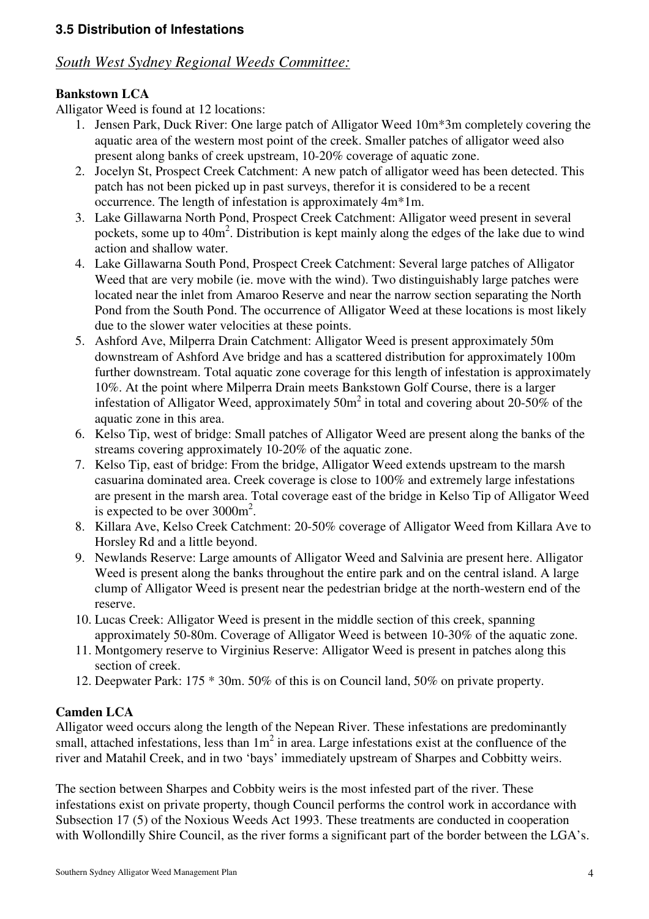## *South West Sydney Regional Weeds Committee:*

## **Bankstown LCA**

Alligator Weed is found at 12 locations:

- 1. Jensen Park, Duck River: One large patch of Alligator Weed 10m\*3m completely covering the aquatic area of the western most point of the creek. Smaller patches of alligator weed also present along banks of creek upstream, 10-20% coverage of aquatic zone.
- 2. Jocelyn St, Prospect Creek Catchment: A new patch of alligator weed has been detected. This patch has not been picked up in past surveys, therefor it is considered to be a recent occurrence. The length of infestation is approximately 4m\*1m.
- 3. Lake Gillawarna North Pond, Prospect Creek Catchment: Alligator weed present in several pockets, some up to  $40m^2$ . Distribution is kept mainly along the edges of the lake due to wind action and shallow water.
- 4. Lake Gillawarna South Pond, Prospect Creek Catchment: Several large patches of Alligator Weed that are very mobile (ie. move with the wind). Two distinguishably large patches were located near the inlet from Amaroo Reserve and near the narrow section separating the North Pond from the South Pond. The occurrence of Alligator Weed at these locations is most likely due to the slower water velocities at these points.
- 5. Ashford Ave, Milperra Drain Catchment: Alligator Weed is present approximately 50m downstream of Ashford Ave bridge and has a scattered distribution for approximately 100m further downstream. Total aquatic zone coverage for this length of infestation is approximately 10%. At the point where Milperra Drain meets Bankstown Golf Course, there is a larger infestation of Alligator Weed, approximately  $50m^2$  in total and covering about 20-50% of the aquatic zone in this area.
- 6. Kelso Tip, west of bridge: Small patches of Alligator Weed are present along the banks of the streams covering approximately 10-20% of the aquatic zone.
- 7. Kelso Tip, east of bridge: From the bridge, Alligator Weed extends upstream to the marsh casuarina dominated area. Creek coverage is close to 100% and extremely large infestations are present in the marsh area. Total coverage east of the bridge in Kelso Tip of Alligator Weed is expected to be over  $3000 \text{m}^2$ .
- 8. Killara Ave, Kelso Creek Catchment: 20-50% coverage of Alligator Weed from Killara Ave to Horsley Rd and a little beyond.
- 9. Newlands Reserve: Large amounts of Alligator Weed and Salvinia are present here. Alligator Weed is present along the banks throughout the entire park and on the central island. A large clump of Alligator Weed is present near the pedestrian bridge at the north-western end of the reserve.
- 10. Lucas Creek: Alligator Weed is present in the middle section of this creek, spanning approximately 50-80m. Coverage of Alligator Weed is between 10-30% of the aquatic zone.
- 11. Montgomery reserve to Virginius Reserve: Alligator Weed is present in patches along this section of creek.
- 12. Deepwater Park: 175 \* 30m. 50% of this is on Council land, 50% on private property.

## **Camden LCA**

Alligator weed occurs along the length of the Nepean River. These infestations are predominantly small, attached infestations, less than  $1m^2$  in area. Large infestations exist at the confluence of the river and Matahil Creek, and in two 'bays' immediately upstream of Sharpes and Cobbitty weirs.

The section between Sharpes and Cobbity weirs is the most infested part of the river. These infestations exist on private property, though Council performs the control work in accordance with Subsection 17 (5) of the Noxious Weeds Act 1993. These treatments are conducted in cooperation with Wollondilly Shire Council, as the river forms a significant part of the border between the LGA's.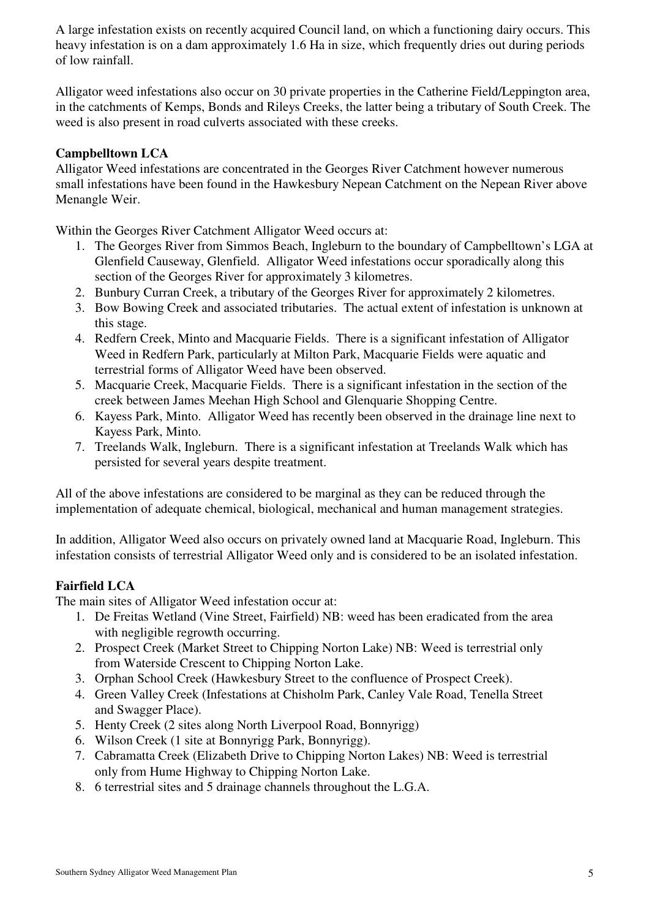A large infestation exists on recently acquired Council land, on which a functioning dairy occurs. This heavy infestation is on a dam approximately 1.6 Ha in size, which frequently dries out during periods of low rainfall.

Alligator weed infestations also occur on 30 private properties in the Catherine Field/Leppington area, in the catchments of Kemps, Bonds and Rileys Creeks, the latter being a tributary of South Creek. The weed is also present in road culverts associated with these creeks.

#### **Campbelltown LCA**

Alligator Weed infestations are concentrated in the Georges River Catchment however numerous small infestations have been found in the Hawkesbury Nepean Catchment on the Nepean River above Menangle Weir.

Within the Georges River Catchment Alligator Weed occurs at:

- 1. The Georges River from Simmos Beach, Ingleburn to the boundary of Campbelltown's LGA at Glenfield Causeway, Glenfield. Alligator Weed infestations occur sporadically along this section of the Georges River for approximately 3 kilometres.
- 2. Bunbury Curran Creek, a tributary of the Georges River for approximately 2 kilometres.
- 3. Bow Bowing Creek and associated tributaries. The actual extent of infestation is unknown at this stage.
- 4. Redfern Creek, Minto and Macquarie Fields. There is a significant infestation of Alligator Weed in Redfern Park, particularly at Milton Park, Macquarie Fields were aquatic and terrestrial forms of Alligator Weed have been observed.
- 5. Macquarie Creek, Macquarie Fields. There is a significant infestation in the section of the creek between James Meehan High School and Glenquarie Shopping Centre.
- 6. Kayess Park, Minto. Alligator Weed has recently been observed in the drainage line next to Kayess Park, Minto.
- 7. Treelands Walk, Ingleburn. There is a significant infestation at Treelands Walk which has persisted for several years despite treatment.

All of the above infestations are considered to be marginal as they can be reduced through the implementation of adequate chemical, biological, mechanical and human management strategies.

In addition, Alligator Weed also occurs on privately owned land at Macquarie Road, Ingleburn. This infestation consists of terrestrial Alligator Weed only and is considered to be an isolated infestation.

## **Fairfield LCA**

The main sites of Alligator Weed infestation occur at:

- 1. De Freitas Wetland (Vine Street, Fairfield) NB: weed has been eradicated from the area with negligible regrowth occurring.
- 2. Prospect Creek (Market Street to Chipping Norton Lake) NB: Weed is terrestrial only from Waterside Crescent to Chipping Norton Lake.
- 3. Orphan School Creek (Hawkesbury Street to the confluence of Prospect Creek).
- 4. Green Valley Creek (Infestations at Chisholm Park, Canley Vale Road, Tenella Street and Swagger Place).
- 5. Henty Creek (2 sites along North Liverpool Road, Bonnyrigg)
- 6. Wilson Creek (1 site at Bonnyrigg Park, Bonnyrigg).
- 7. Cabramatta Creek (Elizabeth Drive to Chipping Norton Lakes) NB: Weed is terrestrial only from Hume Highway to Chipping Norton Lake.
- 8. 6 terrestrial sites and 5 drainage channels throughout the L.G.A.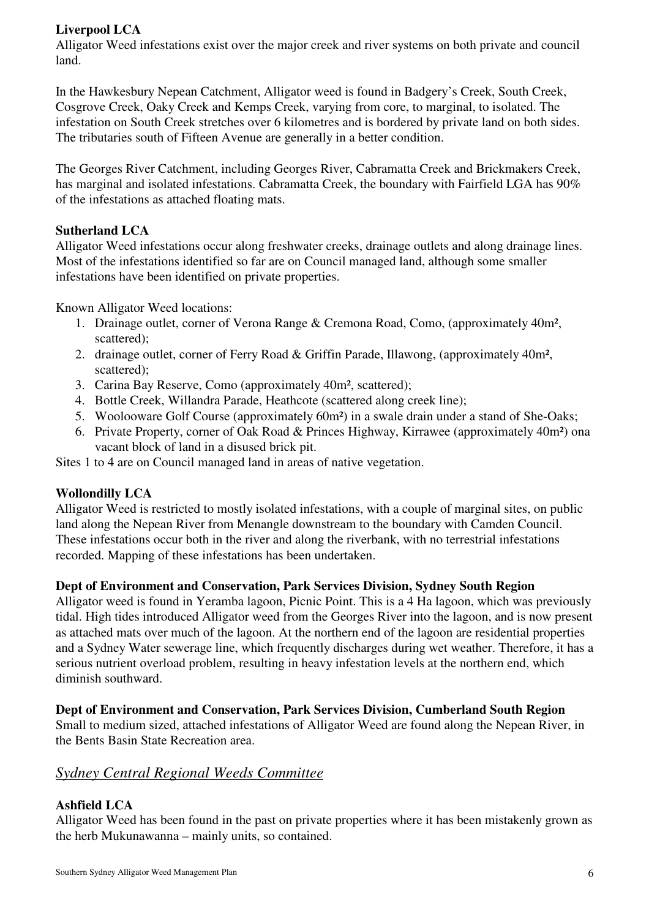## **Liverpool LCA**

Alligator Weed infestations exist over the major creek and river systems on both private and council land.

In the Hawkesbury Nepean Catchment, Alligator weed is found in Badgery's Creek, South Creek, Cosgrove Creek, Oaky Creek and Kemps Creek, varying from core, to marginal, to isolated. The infestation on South Creek stretches over 6 kilometres and is bordered by private land on both sides. The tributaries south of Fifteen Avenue are generally in a better condition.

The Georges River Catchment, including Georges River, Cabramatta Creek and Brickmakers Creek, has marginal and isolated infestations. Cabramatta Creek, the boundary with Fairfield LGA has 90% of the infestations as attached floating mats.

## **Sutherland LCA**

Alligator Weed infestations occur along freshwater creeks, drainage outlets and along drainage lines. Most of the infestations identified so far are on Council managed land, although some smaller infestations have been identified on private properties.

Known Alligator Weed locations:

- 1. Drainage outlet, corner of Verona Range & Cremona Road, Como, (approximately 40m², scattered);
- 2. drainage outlet, corner of Ferry Road & Griffin Parade, Illawong, (approximately 40m², scattered);
- 3. Carina Bay Reserve, Como (approximately 40m², scattered);
- 4. Bottle Creek, Willandra Parade, Heathcote (scattered along creek line);
- 5. Woolooware Golf Course (approximately 60m²) in a swale drain under a stand of She-Oaks;
- 6. Private Property, corner of Oak Road & Princes Highway, Kirrawee (approximately 40m²) ona vacant block of land in a disused brick pit.

Sites 1 to 4 are on Council managed land in areas of native vegetation.

## **Wollondilly LCA**

Alligator Weed is restricted to mostly isolated infestations, with a couple of marginal sites, on public land along the Nepean River from Menangle downstream to the boundary with Camden Council. These infestations occur both in the river and along the riverbank, with no terrestrial infestations recorded. Mapping of these infestations has been undertaken.

#### **Dept of Environment and Conservation, Park Services Division, Sydney South Region**

Alligator weed is found in Yeramba lagoon, Picnic Point. This is a 4 Ha lagoon, which was previously tidal. High tides introduced Alligator weed from the Georges River into the lagoon, and is now present as attached mats over much of the lagoon. At the northern end of the lagoon are residential properties and a Sydney Water sewerage line, which frequently discharges during wet weather. Therefore, it has a serious nutrient overload problem, resulting in heavy infestation levels at the northern end, which diminish southward.

#### **Dept of Environment and Conservation, Park Services Division, Cumberland South Region**

Small to medium sized, attached infestations of Alligator Weed are found along the Nepean River, in the Bents Basin State Recreation area.

## *Sydney Central Regional Weeds Committee*

## **Ashfield LCA**

Alligator Weed has been found in the past on private properties where it has been mistakenly grown as the herb Mukunawanna – mainly units, so contained.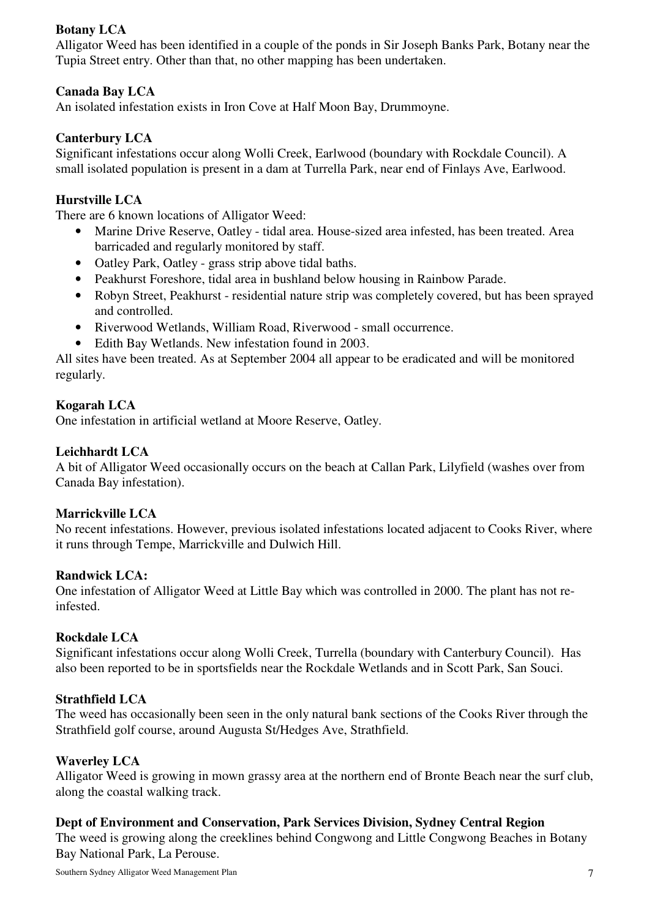## **Botany LCA**

Alligator Weed has been identified in a couple of the ponds in Sir Joseph Banks Park, Botany near the Tupia Street entry. Other than that, no other mapping has been undertaken.

#### **Canada Bay LCA**

An isolated infestation exists in Iron Cove at Half Moon Bay, Drummoyne.

#### **Canterbury LCA**

Significant infestations occur along Wolli Creek, Earlwood (boundary with Rockdale Council). A small isolated population is present in a dam at Turrella Park, near end of Finlays Ave, Earlwood.

#### **Hurstville LCA**

There are 6 known locations of Alligator Weed:

- Marine Drive Reserve, Oatley tidal area. House-sized area infested, has been treated. Area barricaded and regularly monitored by staff.
- Oatley Park, Oatley grass strip above tidal baths.
- Peakhurst Foreshore, tidal area in bushland below housing in Rainbow Parade.
- Robyn Street, Peakhurst residential nature strip was completely covered, but has been sprayed and controlled.
- Riverwood Wetlands, William Road, Riverwood small occurrence.
- Edith Bay Wetlands. New infestation found in 2003.

All sites have been treated. As at September 2004 all appear to be eradicated and will be monitored regularly.

#### **Kogarah LCA**

One infestation in artificial wetland at Moore Reserve, Oatley.

#### **Leichhardt LCA**

A bit of Alligator Weed occasionally occurs on the beach at Callan Park, Lilyfield (washes over from Canada Bay infestation).

#### **Marrickville LCA**

No recent infestations. However, previous isolated infestations located adjacent to Cooks River, where it runs through Tempe, Marrickville and Dulwich Hill.

#### **Randwick LCA:**

One infestation of Alligator Weed at Little Bay which was controlled in 2000. The plant has not reinfested.

#### **Rockdale LCA**

Significant infestations occur along Wolli Creek, Turrella (boundary with Canterbury Council). Has also been reported to be in sportsfields near the Rockdale Wetlands and in Scott Park, San Souci.

#### **Strathfield LCA**

The weed has occasionally been seen in the only natural bank sections of the Cooks River through the Strathfield golf course, around Augusta St/Hedges Ave, Strathfield.

#### **Waverley LCA**

Alligator Weed is growing in mown grassy area at the northern end of Bronte Beach near the surf club, along the coastal walking track.

#### **Dept of Environment and Conservation, Park Services Division, Sydney Central Region**

The weed is growing along the creeklines behind Congwong and Little Congwong Beaches in Botany Bay National Park, La Perouse.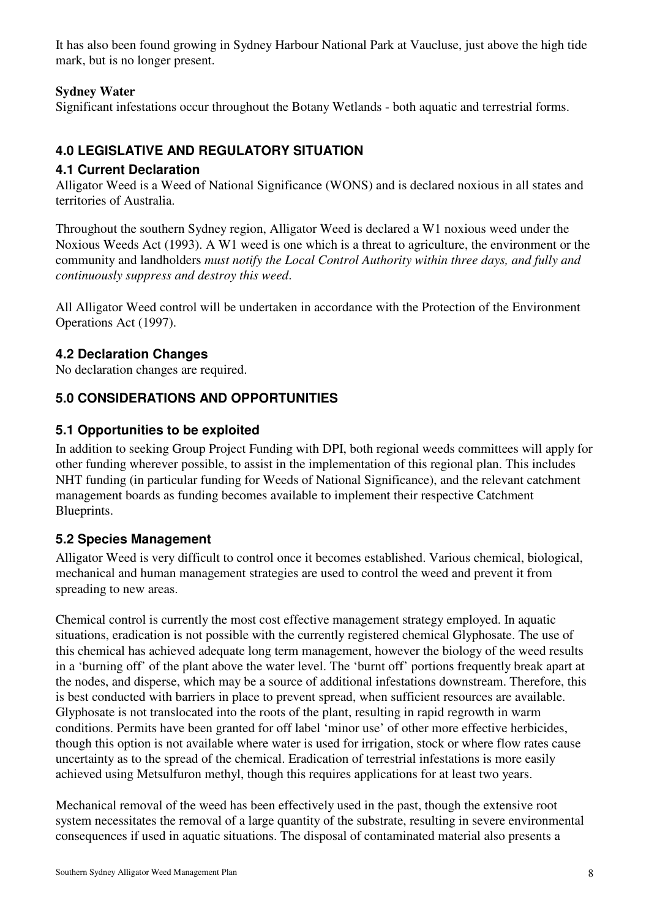It has also been found growing in Sydney Harbour National Park at Vaucluse, just above the high tide mark, but is no longer present.

## **Sydney Water**

Significant infestations occur throughout the Botany Wetlands - both aquatic and terrestrial forms.

# **4.0 LEGISLATIVE AND REGULATORY SITUATION**

## **4.1 Current Declaration**

Alligator Weed is a Weed of National Significance (WONS) and is declared noxious in all states and territories of Australia.

Throughout the southern Sydney region, Alligator Weed is declared a W1 noxious weed under the Noxious Weeds Act (1993). A W1 weed is one which is a threat to agriculture, the environment or the community and landholders *must notify the Local Control Authority within three days, and fully and continuously suppress and destroy this weed*.

All Alligator Weed control will be undertaken in accordance with the Protection of the Environment Operations Act (1997).

# **4.2 Declaration Changes**

No declaration changes are required.

# **5.0 CONSIDERATIONS AND OPPORTUNITIES**

## **5.1 Opportunities to be exploited**

In addition to seeking Group Project Funding with DPI, both regional weeds committees will apply for other funding wherever possible, to assist in the implementation of this regional plan. This includes NHT funding (in particular funding for Weeds of National Significance), and the relevant catchment management boards as funding becomes available to implement their respective Catchment Blueprints.

# **5.2 Species Management**

Alligator Weed is very difficult to control once it becomes established. Various chemical, biological, mechanical and human management strategies are used to control the weed and prevent it from spreading to new areas.

Chemical control is currently the most cost effective management strategy employed. In aquatic situations, eradication is not possible with the currently registered chemical Glyphosate. The use of this chemical has achieved adequate long term management, however the biology of the weed results in a 'burning off' of the plant above the water level. The 'burnt off' portions frequently break apart at the nodes, and disperse, which may be a source of additional infestations downstream. Therefore, this is best conducted with barriers in place to prevent spread, when sufficient resources are available. Glyphosate is not translocated into the roots of the plant, resulting in rapid regrowth in warm conditions. Permits have been granted for off label 'minor use' of other more effective herbicides, though this option is not available where water is used for irrigation, stock or where flow rates cause uncertainty as to the spread of the chemical. Eradication of terrestrial infestations is more easily achieved using Metsulfuron methyl, though this requires applications for at least two years.

Mechanical removal of the weed has been effectively used in the past, though the extensive root system necessitates the removal of a large quantity of the substrate, resulting in severe environmental consequences if used in aquatic situations. The disposal of contaminated material also presents a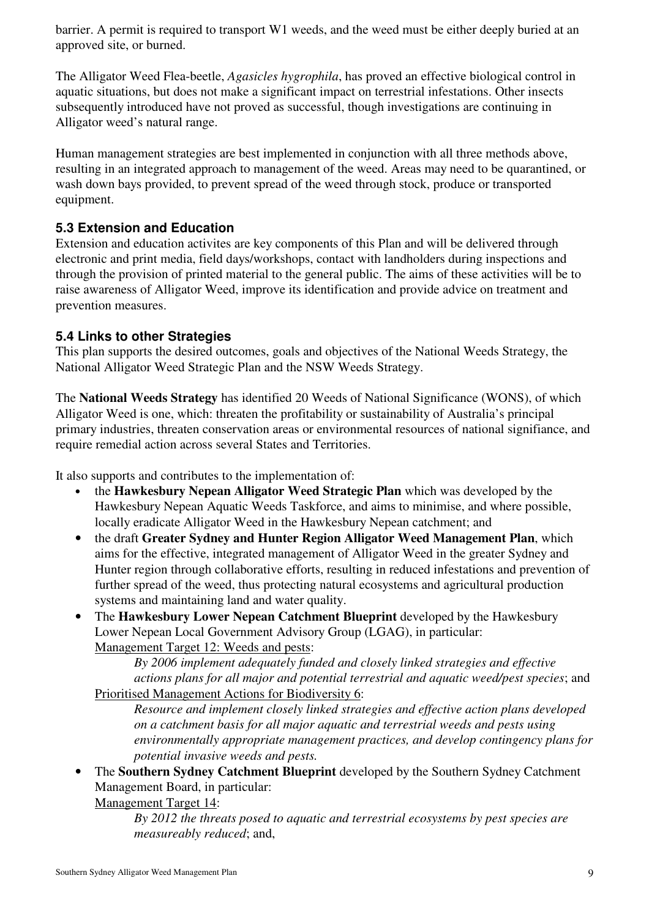barrier. A permit is required to transport W1 weeds, and the weed must be either deeply buried at an approved site, or burned.

The Alligator Weed Flea-beetle, *Agasicles hygrophila*, has proved an effective biological control in aquatic situations, but does not make a significant impact on terrestrial infestations. Other insects subsequently introduced have not proved as successful, though investigations are continuing in Alligator weed's natural range.

Human management strategies are best implemented in conjunction with all three methods above, resulting in an integrated approach to management of the weed. Areas may need to be quarantined, or wash down bays provided, to prevent spread of the weed through stock, produce or transported equipment.

## **5.3 Extension and Education**

Extension and education activites are key components of this Plan and will be delivered through electronic and print media, field days/workshops, contact with landholders during inspections and through the provision of printed material to the general public. The aims of these activities will be to raise awareness of Alligator Weed, improve its identification and provide advice on treatment and prevention measures.

## **5.4 Links to other Strategies**

This plan supports the desired outcomes, goals and objectives of the National Weeds Strategy, the National Alligator Weed Strategic Plan and the NSW Weeds Strategy.

The **National Weeds Strategy** has identified 20 Weeds of National Significance (WONS), of which Alligator Weed is one, which: threaten the profitability or sustainability of Australia's principal primary industries, threaten conservation areas or environmental resources of national signifiance, and require remedial action across several States and Territories.

It also supports and contributes to the implementation of:

- the **Hawkesbury Nepean Alligator Weed Strategic Plan** which was developed by the Hawkesbury Nepean Aquatic Weeds Taskforce, and aims to minimise, and where possible, locally eradicate Alligator Weed in the Hawkesbury Nepean catchment; and
- the draft **Greater Sydney and Hunter Region Alligator Weed Management Plan**, which aims for the effective, integrated management of Alligator Weed in the greater Sydney and Hunter region through collaborative efforts, resulting in reduced infestations and prevention of further spread of the weed, thus protecting natural ecosystems and agricultural production systems and maintaining land and water quality.
- The **Hawkesbury Lower Nepean Catchment Blueprint** developed by the Hawkesbury Lower Nepean Local Government Advisory Group (LGAG), in particular: Management Target 12: Weeds and pests:

*By 2006 implement adequately funded and closely linked strategies and effective actions plans for all major and potential terrestrial and aquatic weed/pest species*; and Prioritised Management Actions for Biodiversity 6:

*Resource and implement closely linked strategies and effective action plans developed on a catchment basis for all major aquatic and terrestrial weeds and pests using environmentally appropriate management practices, and develop contingency plans for potential invasive weeds and pests.*

• The **Southern Sydney Catchment Blueprint** developed by the Southern Sydney Catchment Management Board, in particular:

Management Target 14:

*By 2012 the threats posed to aquatic and terrestrial ecosystems by pest species are measureably reduced*; and,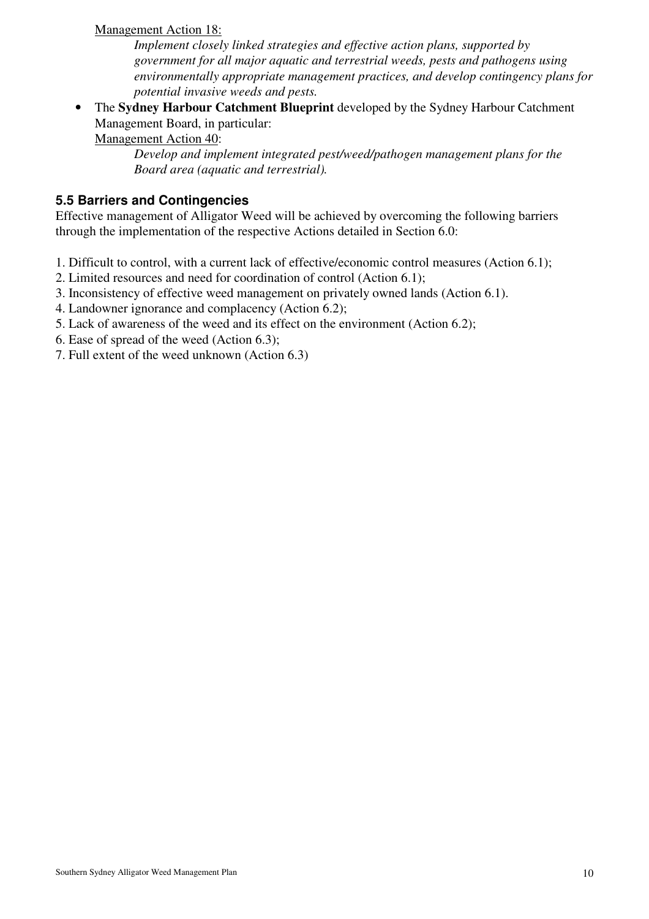#### Management Action 18:

*Implement closely linked strategies and effective action plans, supported by government for all major aquatic and terrestrial weeds, pests and pathogens using environmentally appropriate management practices, and develop contingency plans for potential invasive weeds and pests.* 

• The **Sydney Harbour Catchment Blueprint** developed by the Sydney Harbour Catchment Management Board, in particular:

Management Action 40:

*Develop and implement integrated pest/weed/pathogen management plans for the Board area (aquatic and terrestrial).*

## **5.5 Barriers and Contingencies**

Effective management of Alligator Weed will be achieved by overcoming the following barriers through the implementation of the respective Actions detailed in Section 6.0:

- 1. Difficult to control, with a current lack of effective/economic control measures (Action 6.1);
- 2. Limited resources and need for coordination of control (Action 6.1);
- 3. Inconsistency of effective weed management on privately owned lands (Action 6.1).
- 4. Landowner ignorance and complacency (Action 6.2);
- 5. Lack of awareness of the weed and its effect on the environment (Action 6.2);
- 6. Ease of spread of the weed (Action 6.3);
- 7. Full extent of the weed unknown (Action 6.3)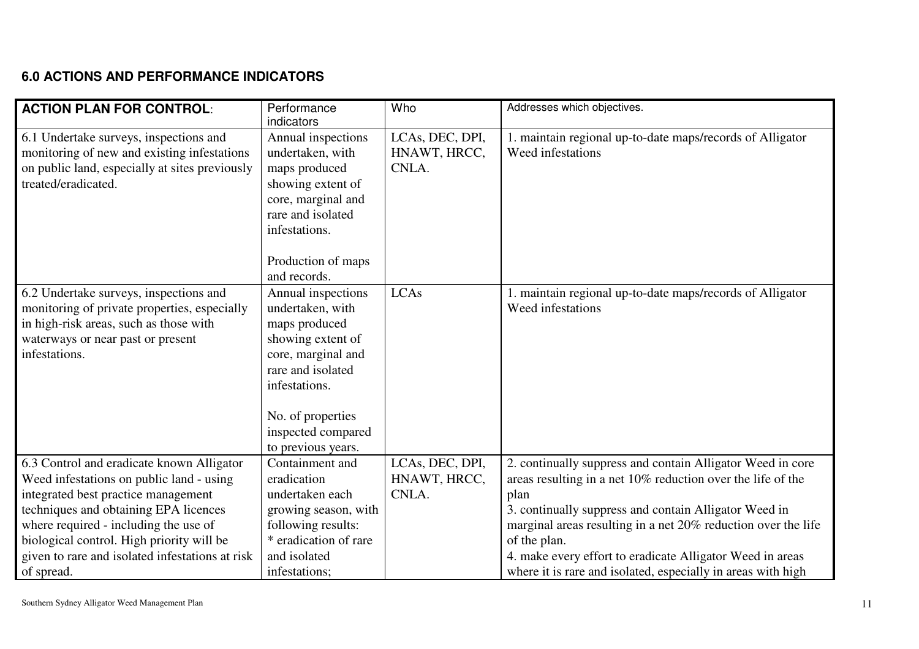# **6.0 ACTIONS AND PERFORMANCE INDICATORS**

| <b>ACTION PLAN FOR CONTROL:</b>                                                                                                                                                                                                                                                                                              | Performance<br>indicators                                                                                                                                                                                 | Who                                      | Addresses which objectives.                                                                                                                                                                                                                                                                                                                                                                              |
|------------------------------------------------------------------------------------------------------------------------------------------------------------------------------------------------------------------------------------------------------------------------------------------------------------------------------|-----------------------------------------------------------------------------------------------------------------------------------------------------------------------------------------------------------|------------------------------------------|----------------------------------------------------------------------------------------------------------------------------------------------------------------------------------------------------------------------------------------------------------------------------------------------------------------------------------------------------------------------------------------------------------|
| 6.1 Undertake surveys, inspections and<br>monitoring of new and existing infestations<br>on public land, especially at sites previously<br>treated/eradicated.                                                                                                                                                               | Annual inspections<br>undertaken, with<br>maps produced<br>showing extent of<br>core, marginal and<br>rare and isolated<br>infestations.<br>Production of maps<br>and records.                            | LCAs, DEC, DPI,<br>HNAWT, HRCC,<br>CNLA. | 1. maintain regional up-to-date maps/records of Alligator<br>Weed infestations                                                                                                                                                                                                                                                                                                                           |
| 6.2 Undertake surveys, inspections and<br>monitoring of private properties, especially<br>in high-risk areas, such as those with<br>waterways or near past or present<br>infestations.                                                                                                                                       | Annual inspections<br>undertaken, with<br>maps produced<br>showing extent of<br>core, marginal and<br>rare and isolated<br>infestations.<br>No. of properties<br>inspected compared<br>to previous years. | <b>LCAs</b>                              | 1. maintain regional up-to-date maps/records of Alligator<br>Weed infestations                                                                                                                                                                                                                                                                                                                           |
| 6.3 Control and eradicate known Alligator<br>Weed infestations on public land - using<br>integrated best practice management<br>techniques and obtaining EPA licences<br>where required - including the use of<br>biological control. High priority will be<br>given to rare and isolated infestations at risk<br>of spread. | Containment and<br>eradication<br>undertaken each<br>growing season, with<br>following results:<br>* eradication of rare<br>and isolated<br>infestations;                                                 | LCAs, DEC, DPI,<br>HNAWT, HRCC,<br>CNLA. | 2. continually suppress and contain Alligator Weed in core<br>areas resulting in a net 10% reduction over the life of the<br>plan<br>3. continually suppress and contain Alligator Weed in<br>marginal areas resulting in a net 20% reduction over the life<br>of the plan.<br>4. make every effort to eradicate Alligator Weed in areas<br>where it is rare and isolated, especially in areas with high |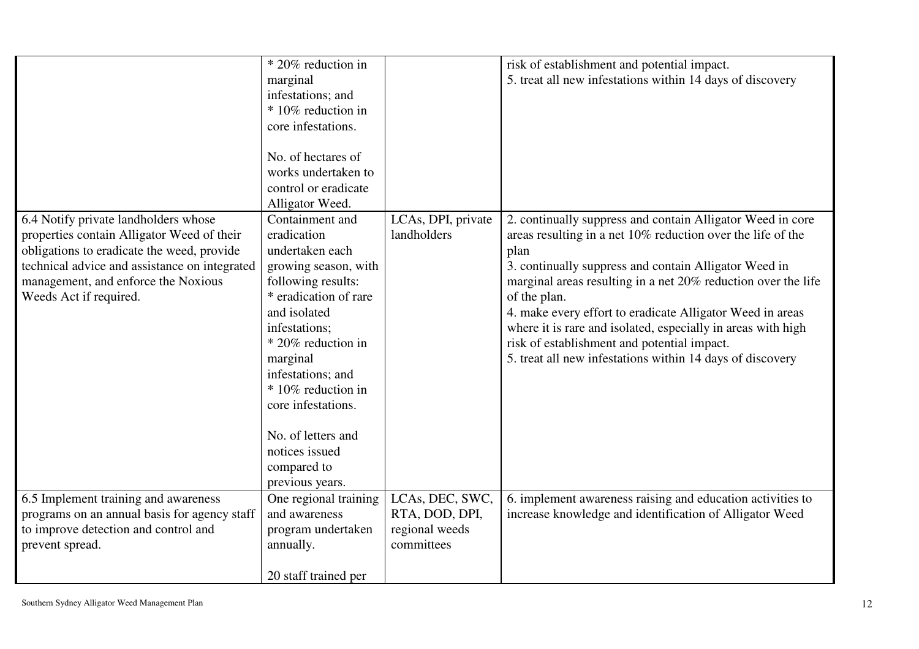|                                                                                                                                                                                                                                                    | * 20% reduction in<br>marginal<br>infestations; and<br>* 10% reduction in<br>core infestations.<br>No. of hectares of                                                                                                                                        |                                                                   | risk of establishment and potential impact.<br>5. treat all new infestations within 14 days of discovery                                                                                                                                                                                                                                                                                                                                                                                                             |
|----------------------------------------------------------------------------------------------------------------------------------------------------------------------------------------------------------------------------------------------------|--------------------------------------------------------------------------------------------------------------------------------------------------------------------------------------------------------------------------------------------------------------|-------------------------------------------------------------------|----------------------------------------------------------------------------------------------------------------------------------------------------------------------------------------------------------------------------------------------------------------------------------------------------------------------------------------------------------------------------------------------------------------------------------------------------------------------------------------------------------------------|
|                                                                                                                                                                                                                                                    | works undertaken to<br>control or eradicate                                                                                                                                                                                                                  |                                                                   |                                                                                                                                                                                                                                                                                                                                                                                                                                                                                                                      |
|                                                                                                                                                                                                                                                    | Alligator Weed.                                                                                                                                                                                                                                              |                                                                   |                                                                                                                                                                                                                                                                                                                                                                                                                                                                                                                      |
| 6.4 Notify private landholders whose<br>properties contain Alligator Weed of their<br>obligations to eradicate the weed, provide<br>technical advice and assistance on integrated<br>management, and enforce the Noxious<br>Weeds Act if required. | Containment and<br>eradication<br>undertaken each<br>growing season, with<br>following results:<br>* eradication of rare<br>and isolated<br>infestations;<br>* 20% reduction in<br>marginal<br>infestations; and<br>* 10% reduction in<br>core infestations. | LCAs, DPI, private<br>landholders                                 | 2. continually suppress and contain Alligator Weed in core<br>areas resulting in a net 10% reduction over the life of the<br>plan<br>3. continually suppress and contain Alligator Weed in<br>marginal areas resulting in a net 20% reduction over the life<br>of the plan.<br>4. make every effort to eradicate Alligator Weed in areas<br>where it is rare and isolated, especially in areas with high<br>risk of establishment and potential impact.<br>5. treat all new infestations within 14 days of discovery |
|                                                                                                                                                                                                                                                    | No. of letters and<br>notices issued<br>compared to                                                                                                                                                                                                          |                                                                   |                                                                                                                                                                                                                                                                                                                                                                                                                                                                                                                      |
|                                                                                                                                                                                                                                                    | previous years.                                                                                                                                                                                                                                              |                                                                   |                                                                                                                                                                                                                                                                                                                                                                                                                                                                                                                      |
| 6.5 Implement training and awareness<br>programs on an annual basis for agency staff<br>to improve detection and control and<br>prevent spread.                                                                                                    | One regional training<br>and awareness<br>program undertaken<br>annually.                                                                                                                                                                                    | LCAs, DEC, SWC,<br>RTA, DOD, DPI,<br>regional weeds<br>committees | 6. implement awareness raising and education activities to<br>increase knowledge and identification of Alligator Weed                                                                                                                                                                                                                                                                                                                                                                                                |
|                                                                                                                                                                                                                                                    | 20 staff trained per                                                                                                                                                                                                                                         |                                                                   |                                                                                                                                                                                                                                                                                                                                                                                                                                                                                                                      |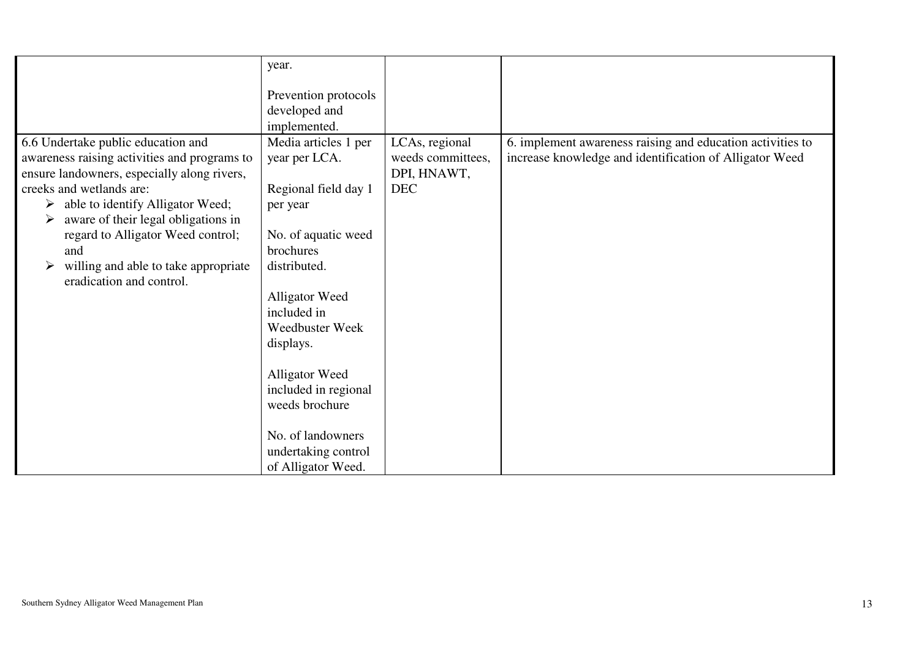| 6.6 Undertake public education and                                    | year.<br>Prevention protocols<br>developed and<br>implemented.<br>Media articles 1 per | LCAs, regional    | 6. implement awareness raising and education activities to |
|-----------------------------------------------------------------------|----------------------------------------------------------------------------------------|-------------------|------------------------------------------------------------|
| awareness raising activities and programs to                          | year per LCA.                                                                          | weeds committees, | increase knowledge and identification of Alligator Weed    |
| ensure landowners, especially along rivers,                           |                                                                                        | DPI, HNAWT,       |                                                            |
| creeks and wetlands are:                                              | Regional field day 1                                                                   | <b>DEC</b>        |                                                            |
| able to identify Alligator Weed;<br>➤                                 | per year                                                                               |                   |                                                            |
| aware of their legal obligations in<br>➤                              |                                                                                        |                   |                                                            |
| regard to Alligator Weed control;                                     | No. of aquatic weed                                                                    |                   |                                                            |
| and                                                                   | brochures                                                                              |                   |                                                            |
| willing and able to take appropriate<br>➤<br>eradication and control. | distributed.                                                                           |                   |                                                            |
|                                                                       | Alligator Weed                                                                         |                   |                                                            |
|                                                                       | included in                                                                            |                   |                                                            |
|                                                                       | <b>Weedbuster Week</b>                                                                 |                   |                                                            |
|                                                                       | displays.                                                                              |                   |                                                            |
|                                                                       | Alligator Weed                                                                         |                   |                                                            |
|                                                                       | included in regional                                                                   |                   |                                                            |
|                                                                       | weeds brochure                                                                         |                   |                                                            |
|                                                                       |                                                                                        |                   |                                                            |
|                                                                       | No. of landowners                                                                      |                   |                                                            |
|                                                                       | undertaking control                                                                    |                   |                                                            |
|                                                                       | of Alligator Weed.                                                                     |                   |                                                            |